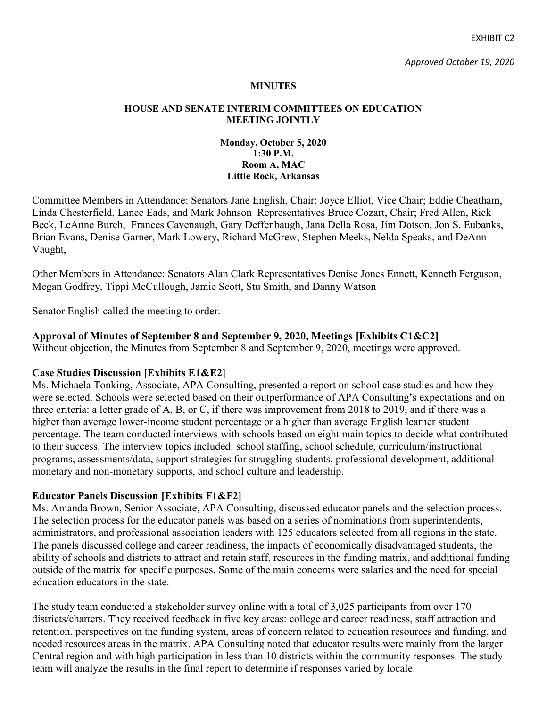EXHIBIT C2

#### **MINUTES**

#### **HOUSE AND SENATE INTERIM COMMITTEES ON EDUCATION MEETING JOINTLY**

#### **Monday, October 5, 2020 1:30 P.M. Room A, MAC Little Rock, Arkansas**

Committee Members in Attendance: Senators Jane English, Chair; Joyce Elliot, Vice Chair; Eddie Cheatham, Linda Chesterfield, Lance Eads, and Mark Johnson Representatives Bruce Cozart, Chair; Fred Allen, Rick Beck, LeAnne Burch, Frances Cavenaugh, Gary Deffenbaugh, Jana Della Rosa, Jim Dotson, Jon S. Eubanks, Brian Evans, Denise Garner, Mark Lowery, Richard McGrew, Stephen Meeks, Nelda Speaks, and DeAnn Vaught,

Other Members in Attendance: Senators Alan Clark Representatives Denise Jones Ennett, Kenneth Ferguson, Megan Godfrey, Tippi McCullough, Jamie Scott, Stu Smith, and Danny Watson

Senator English called the meeting to order.

# **Approval of Minutes of September 8 and September 9, 2020, Meetings [Exhibits C1&C2]**

Without objection, the Minutes from September 8 and September 9, 2020, meetings were approved.

# **Case Studies Discussion [Exhibits E1&E2]**

Ms. Michaela Tonking, Associate, APA Consulting, presented a report on school case studies and how they were selected. Schools were selected based on their outperformance of APA Consulting's expectations and on three criteria: a letter grade of A, B, or C, if there was improvement from 2018 to 2019, and if there was a higher than average lower-income student percentage or a higher than average English learner student percentage. The team conducted interviews with schools based on eight main topics to decide what contributed to their success. The interview topics included: school staffing, school schedule, curriculum/instructional programs, assessments/data, support strategies for struggling students, professional development, additional monetary and non-monetary supports, and school culture and leadership.

# **Educator Panels Discussion [Exhibits F1&F2]**

Ms. Amanda Brown, Senior Associate, APA Consulting, discussed educator panels and the selection process. The selection process for the educator panels was based on a series of nominations from superintendents, administrators, and professional association leaders with 125 educators selected from all regions in the state. The panels discussed college and career readiness, the impacts of economically disadvantaged students, the ability of schools and districts to attract and retain staff, resources in the funding matrix, and additional funding outside of the matrix for specific purposes. Some of the main concerns were salaries and the need for special education educators in the state.

The study team conducted a stakeholder survey online with a total of 3,025 participants from over 170 districts/charters. They received feedback in five key areas: college and career readiness, staff attraction and retention, perspectives on the funding system, areas of concern related to education resources and funding, and needed resources areas in the matrix. APA Consulting noted that educator results were mainly from the larger Central region and with high participation in less than 10 districts within the community responses. The study team will analyze the results in the final report to determine if responses varied by locale.